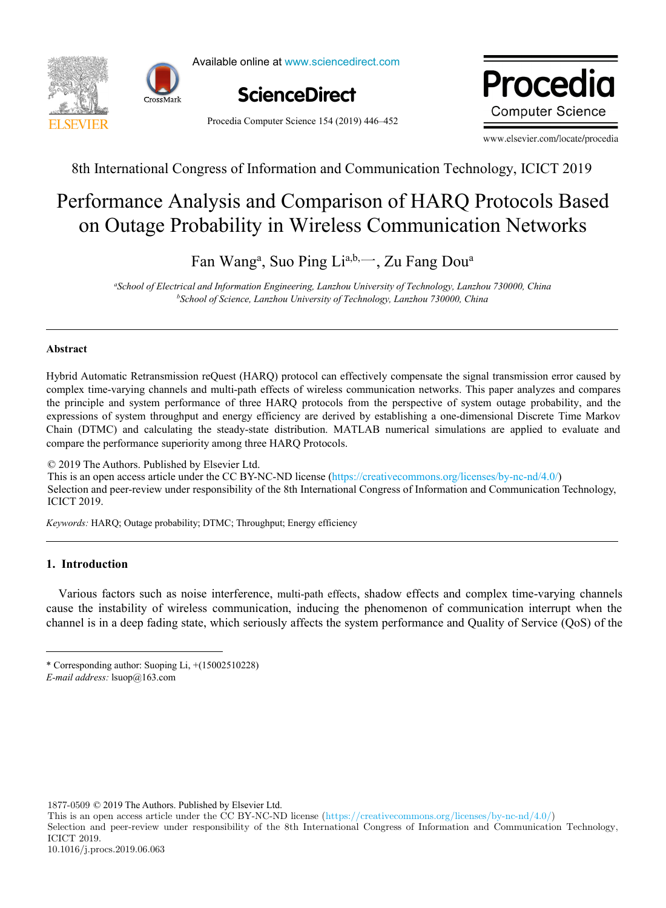



Available online at www.sciencedirect.com **Procedia Computer Science Science Science** 



Procedia Computer Science 154 (2019) 446–452

ww.elsevier.com/locate/procedia **Computer Science** 

www.elsevier.com/locate/procedia

8th International Congress of Information and Communication Technology, ICICT 2019 8th International Congress of Information and Communication Technology (ICICT-2019)

#### rformance Analysis and Comparison of HARQ Protocols Ba obability in Wireless Communicat Performance Analysis and Comparison of HARQ Protocols Based on Outage Probability in Wireless Communication Networks Performance Analysis and Comparison of HARQ Protocols Based on Outage Probability in Wireless Communication Networks

<sup>a</sup>, Suo Ping Li<sup>a,b,—</sup>, Zu  $\overline{F}$  we can be provided to  $\overline{F}$ *School of Electrical and Information Engineering, Lanzhou University of Technology, Lanzhou 730000, China* Fan Wang<sup>a</sup>, Suo Ping Li<sup>a,b,</sup> Zu Fang Dou<sup>a</sup>

*Suzhou University Shandong Business Institute b School of Science, Lanzhou University of Technology, Lanzhou 730000, China* "School of Electrical and Information Engineering, Lanzhou University of Technology, Lanzhou 730000, China

### **Abstract**  $T_{\text{non-}i}$  is a set  $T_{\text{non-}i}$  in modern era ,  $T_{\text{non-}i}$  in  $T_{\text{non-}i}$  , it discusses set  $T_{\text{non-}i}$ **Abstract**

Hybrid Automatic Retransmission reQuest (HARQ) protocol can effectively compensate the signal transmission error caused by complex time-varying channels and multi-path effects of wireless communication networks. This paper analyzes and compares the principle and system performance of three HARQ protocols from the perspective of system outage probability, and the expressions of system throughput and energy efficiency are derived by establishing a one-dimensional Discrete Time Markov Entim (D 111C) and carentaining the steady sta compare the performance superiority among three HARQ Protocols. Chain (DTMC) and calculating the steady-state distribution. MATLAB numerical simulations are applied to evaluate and Hybrid Automatic Retransmission reQuest (HARQ) protocol can effectively compensate the signal transmission error caused by<br>complex time-varying channels and multi-path effects of wireless communication networks. This paper

© 2019 The Authors. Published by Elsevier Ltd. This is an open access article under the CC BY-NC-ND license (https://creativecommons.org/licenses/by-nc-nd/4.0/) Selection and peer-review under responsibility of the 8th International Congress of Information and Communication Technology, ICICT 2019. Peer-review under responsibility of organizing committee of the 8th International Congress of Information and Communication

*Keywords:* HARQ; Outage probability; DTMC; Throughput; Energy efficiency *Keywords:* HARQ; Outage probability; DTMC; Throughput; Energy efficiency

### 1. Introduction About the author: Li Ying (1985), female, Han nationality, Yantai, Shandong, Ph.D. student of Suzhou University, lecturer of information art

department of Shandong Business Institute, research direction: design science; Various factors such as noise interference, multi-path effects, shadow effects and complex time-varying channels cause the instability of wireless communication, inducing the phenomenon of communication interrupt when the channel is in a deep fading state, which seriously affects the system performance and Quality of Service (QoS) of the Art" (J16WH12); Shandong Provincial Social Science Planning Research Project "Qilu Folk Art Narrative Research Based on Information

Interaction Design" (18DWYJ01);Jiangsu Province Academic Degree College Graduate innovation projects "Design Art Research of Su Zuo

 $\mathcal{L}$ atticed windows " \* Corresponding author: Suoping Li,  $+(15002510228)$ 

1877-0509 © 2019 The Authors. Published by Elsevier Ltd.

This is an open access article under the CC BY-NC-ND license (https://creativecommons.org/licenses/by-nc-nd/4.0/)

Selection and peer-review under responsibility of the 8th International Congress of Information and Communication Technology, ICICT 2019.

E-mail address: lsuop@163.com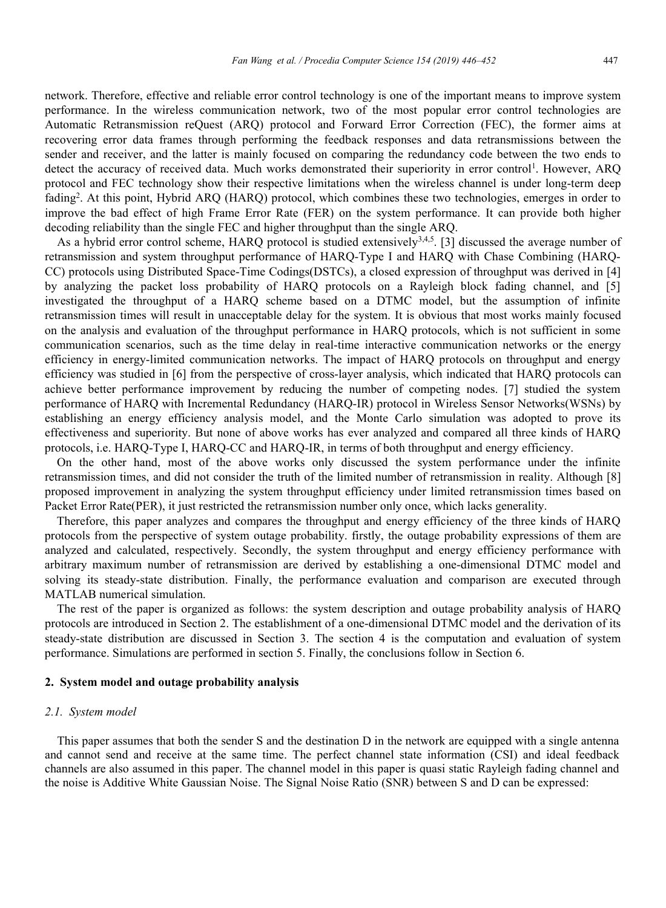network. Therefore, effective and reliable error control technology is one of the important means to improve system performance. In the wireless communication network, two of the most popular error control technologies are Automatic Retransmission reQuest (ARQ) protocol and Forward Error Correction (FEC), the former aims at recovering error data frames through performing the feedback responses and data retransmissions between the sender and receiver, and the latter is mainly focused on comparing the redundancy code between the two ends to detect the accuracy of received data. Much works demonstrated their superiority in error control<sup>1</sup>. However, ARQ protocol and FEC technology show their respective limitations when the wireless channel is under long-term deep fading<sup>2</sup>. At this point, Hybrid ARQ (HARQ) protocol, which combines these two technologies, emerges in order to improve the bad effect of high Frame Error Rate (FER) on the system performance. It can provide both higher decoding reliability than the single FEC and higher throughput than the single ARQ.

As a hybrid error control scheme, HARQ protocol is studied extensively<sup>3,4,5</sup>. [3] discussed the average number of retransmission and system throughput performance of HARQ-Type I and HARQ with Chase Combining (HARQ-CC) protocols using Distributed Space-Time Codings(DSTCs), a closed expression of throughput was derived in [4] by analyzing the packet loss probability of HARQ protocols on a Rayleigh block fading channel, and [5] investigated the throughput of a HARQ scheme based on a DTMC model, but the assumption of infinite retransmission times will result in unacceptable delay for the system. It is obvious that most works mainly focused on the analysis and evaluation of the throughput performance in HARQ protocols, which is not sufficient in some communication scenarios, such as the time delay in real-time interactive communication networks or the energy efficiency in energy-limited communication networks. The impact of HARQ protocols on throughput and energy efficiency was studied in [6] from the perspective of cross-layer analysis, which indicated that HARQ protocols can achieve better performance improvement by reducing the number of competing nodes. [7] studied the system performance of HARQ with Incremental Redundancy (HARQ-IR) protocol in Wireless Sensor Networks(WSNs) by establishing an energy efficiency analysis model, and the Monte Carlo simulation was adopted to prove its effectiveness and superiority. But none of above works has ever analyzed and compared all three kinds of HARQ protocols, i.e. HARQ-Type I, HARQ-CC and HARQ-IR, in terms of both throughput and energy efficiency.

On the other hand, most of the above works only discussed the system performance under the infinite retransmission times, and did not consider the truth of the limited number of retransmission in reality. Although [8] proposed improvement in analyzing the system throughput efficiency under limited retransmission times based on Packet Error Rate(PER), it just restricted the retransmission number only once, which lacks generality.

Therefore, this paper analyzes and compares the throughput and energy efficiency of the three kinds of HARQ protocols from the perspective of system outage probability. firstly, the outage probability expressions of them are analyzed and calculated, respectively. Secondly, the system throughput and energy efficiency performance with arbitrary maximum number of retransmission are derived by establishing a one-dimensional DTMC model and solving its steady-state distribution. Finally, the performance evaluation and comparison are executed through MATLAB numerical simulation.

The rest of the paper is organized as follows: the system description and outage probability analysis of HARQ protocols are introduced in Section 2. The establishment of a one-dimensional DTMC model and the derivation of its steady-state distribution are discussed in Section 3. The section 4 is the computation and evaluation of system performance. Simulations are performed in section 5. Finally, the conclusions follow in Section 6.

### **2. System model and outage probability analysis**

# *2.1. System model*

This paper assumes that both the sender S and the destination D in the network are equipped with a single antenna and cannot send and receive at the same time. The perfect channel state information (CSI) and ideal feedback channels are also assumed in this paper. The channel model in this paper is quasi static Rayleigh fading channel and the noise is Additive White Gaussian Noise. The Signal Noise Ratio (SNR) between S and D can be expressed: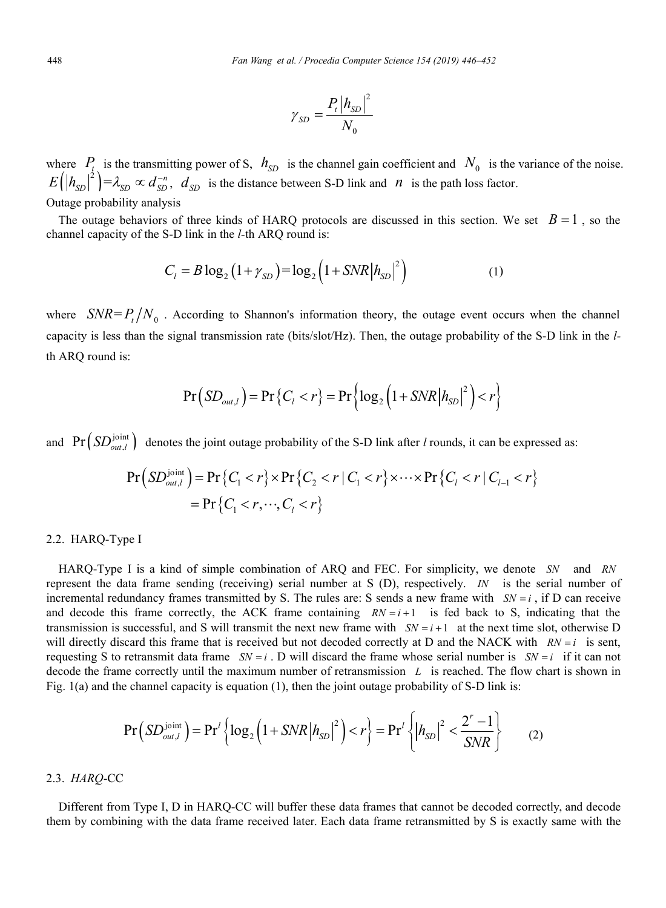$$
\gamma_{SD} = \frac{P_t \left| h_{SD} \right|^2}{N_0}
$$

where  $P_{t_1}$  is the transmitting power of S,  $h_{SD}$  is the channel gain coefficient and  $N_0$  is the variance of the noise.  $E(|h_{SD}|^2) = \lambda_{SD} \propto d_{SD}^{-n}$ ,  $d_{SD}$  is the distance between S-D link and *n* is the path loss factor.

Outage probability analysis

The outage behaviors of three kinds of HARQ protocols are discussed in this section. We set  $B=1$ , so the channel capacity of the S-D link in the *l-*th ARQ round is:

$$
C_1 = B \log_2 (1 + \gamma_{SD}) = \log_2 (1 + SNR |h_{SD}|^2)
$$
 (1)

where  $SNR = P_t / N_0$ . According to Shannon's information theory, the outage event occurs when the channel capacity is less than the signal transmission rate (bits/slot/Hz). Then, the outage probability of the S-D link in the *l*th ARQ round is:

$$
Pr(SD_{out,l}) = Pr\left\{C_l < r\right\} = Pr\left\{\log_2\left(1 + SNR\left|h_{SD}\right|^2\right) < r\right\}
$$

and  $Pr(SD_{out}^{joint})$  denotes the joint outage probability of the S-D link after *l* rounds, it can be expressed as:

$$
Pr(SD_{out,l}^{joint}) = Pr\{C_1 < r\} \times Pr\{C_2 < r \mid C_1 < r\} \times \cdots \times Pr\{C_l < r \mid C_{l-1} < r\}
$$
\n
$$
= Pr\{C_1 < r, \cdots, C_l < r\}
$$

#### 2.2. HARQ-Type I

HARQ-Type I is a kind of simple combination of ARQ and FEC. For simplicity, we denote *SN* and *RN* represent the data frame sending (receiving) serial number at S (D), respectively. *IN* is the serial number of incremental redundancy frames transmitted by S. The rules are: S sends a new frame with  $SN = i$ , if D can receive and decode this frame correctly, the ACK frame containing  $RN = i + 1$  is fed back to S, indicating that the transmission is successful, and S will transmit the next new frame with  $SN = i + 1$  at the next time slot, otherwise D will directly discard this frame that is received but not decoded correctly at D and the NACK with  $RN = i$  is sent, requesting S to retransmit data frame  $SN = i$ . D will discard the frame whose serial number is  $SN = i$  if it can not decode the frame correctly until the maximum number of retransmission *L* is reached. The flow chart is shown in Fig. 1(a) and the channel capacity is equation (1), then the joint outage probability of S-D link is:

$$
\Pr\left(SD_{out,l}^{\text{joint}}\right) = \Pr^{\prime}\left\{\log_2\left(1 + SNR\left|h_{SD}\right|^2\right) < r\right\} = \Pr^{\prime}\left\{\left|h_{SD}\right|^2 < \frac{2^r - 1}{SNR}\right\} \tag{2}
$$

## 2.3. *HARQ*-CC

Different from Type I, D in HARQ-CC will buffer these data frames that cannot be decoded correctly, and decode them by combining with the data frame received later. Each data frame retransmitted by S is exactly same with the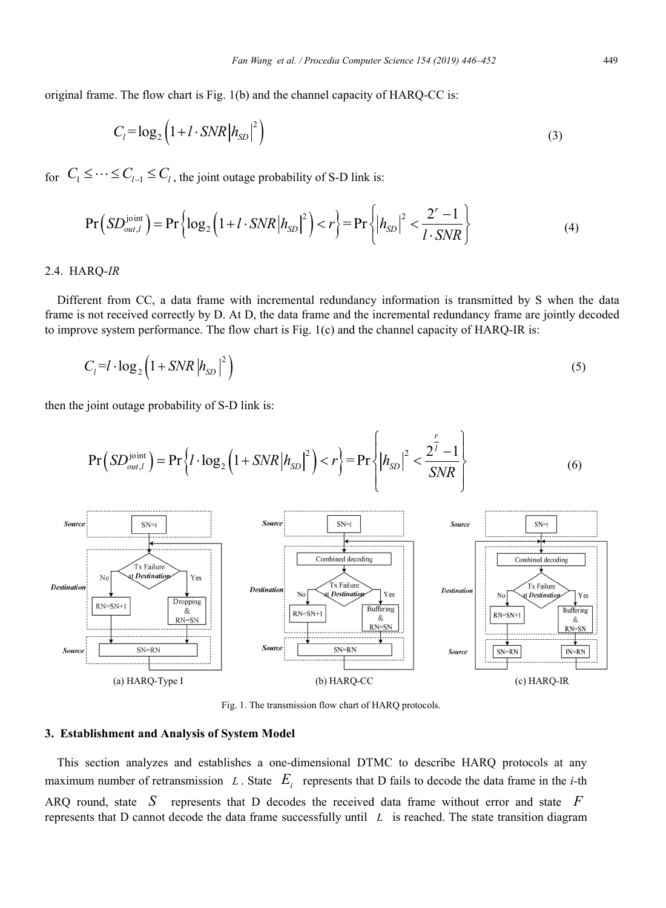original frame. The flow chart is Fig. 1(b) and the channel capacity of HARQ-CC is:

$$
C_l = \log_2\left(1 + l \cdot SNR \left| h_{SD} \right|^2 \right) \tag{3}
$$

for  $C_1 \leq \cdots \leq C_{l-1} \leq C_l$ , the joint outage probability of S-D link is:

$$
\Pr\left(SD_{out,l}^{\text{joint}}\right) = \Pr\left\{\log_2\left(1 + l \cdot SNR \left|h_{SD}\right|^2\right) < r\right\} = \Pr\left\{\left|h_{SD}\right|^2 < \frac{2^r - 1}{l \cdot SNR}\right\} \tag{4}
$$

#### 2.4. HARQ-*IR*

Different from CC, a data frame with incremental redundancy information is transmitted by S when the data frame is not received correctly by D. At D, the data frame and the incremental redundancy frame are jointly decoded to improve system performance. The flow chart is Fig. 1(c) and the channel capacity of HARQ-IR is:

$$
C_l = l \cdot \log_2 \left( 1 + SNR \left| h_{SD} \right|^{2} \right) \tag{5}
$$

then the joint outage probability of S-D link is:

$$
\Pr\left(SD_{out,l}^{\text{joint}}\right) = \Pr\left\{l \cdot \log_2\left(1 + SNR\left|h_{SD}\right|^2\right) < r\right\} = \Pr\left\{|h_{SD}|^2 < \frac{2^{\frac{r}{l}} - 1}{SNR}\right\} \tag{6}
$$



Fig. 1. The transmission flow chart of HARQ protocols.

#### **3. Establishment and Analysis of System Model**

This section analyzes and establishes a one-dimensional DTMC to describe HARQ protocols at any maximum number of retransmission *L*. State  $E_i$  represents that D fails to decode the data frame in the *i*-th ARQ round, state *S* represents that D decodes the received data frame without error and state *F* represents that D cannot decode the data frame successfully until *L* is reached. The state transition diagram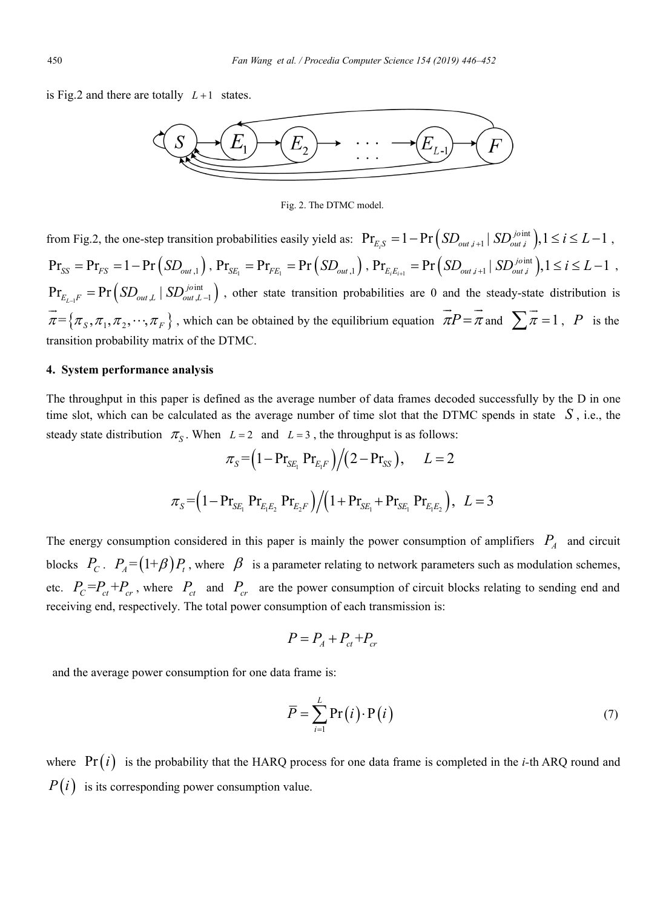is Fig.2 and there are totally  $L+1$  states.



Fig. 2. The DTMC model.

from Fig.2, the one-step transition probabilities easily yield as:  $Pr_{E_i,S} = 1 - Pr \left(SD_{out,i+1} | SD_{out,i}^{joint}\right), 1 \le i \le L-1$ ,  $\Pr_{SS} = \Pr_{FS} = 1 - \Pr\left(SD_{out,1}\right)$ ,  $\Pr_{SE_1} = \Pr_{FE_1} = \Pr\left(SD_{out,1}\right)$ ,  $\Pr_{E_iE_{i+1}} = \Pr\left(SD_{out,i+1} | SD_{out}^{joint}\right)$ ,  $1 \le i \le L-1$  $\Pr_{E_{L-1}F} = \Pr\left(SD_{out,L} | SD_{out,L-1}\right)$ , other state transition probabilities are 0 and the steady-state distribution is  $\vec{\pi} = {\pi_s, \pi_1, \pi_2, \cdots, \pi_F}$ , which can be obtained by the equilibrium equation  $\vec{\pi}P = \vec{\pi}$  and  $\sum \vec{\pi} = 1$ , *P* is the transition probability matrix of the DTMC.

#### **4. System performance analysis**

The throughput in this paper is defined as the average number of data frames decoded successfully by the D in one time slot, which can be calculated as the average number of time slot that the DTMC spends in state  $S$ , i.e., the steady state distribution  $\pi_{S}$ . When  $L = 2$  and  $L = 3$ , the throughput is as follows:

$$
\pi_{S} = (1 - \Pr_{SE_{1}} \Pr_{E_{1}F} ) / (2 - \Pr_{SS}), \qquad L = 2
$$
  

$$
\pi_{S} = (1 - \Pr_{SE_{1}} \Pr_{E_{1}E_{2}} \Pr_{E_{2}F} ) / (1 + \Pr_{SE_{1}} + \Pr_{SE_{1}} \Pr_{E_{1}E_{2}} ), \quad L = 3
$$

The energy consumption considered in this paper is mainly the power consumption of amplifiers  $P_A$  and circuit blocks  $P_c$ .  $P_A = (1+\beta)P_t$ , where  $\beta$  is a parameter relating to network parameters such as modulation schemes, etc.  $P_c = P_{ct} + P_{cr}$ , where  $P_{ct}$  and  $P_{cr}$  are the power consumption of circuit blocks relating to sending end and receiving end, respectively. The total power consumption of each transmission is:

$$
P = P_A + P_{ct} + P_{cr}
$$

and the average power consumption for one data frame is:

$$
\overline{P} = \sum_{i=1}^{L} \Pr(i) \cdot \Pr(i) \tag{7}
$$

where  $Pr(i)$  is the probability that the HARQ process for one data frame is completed in the *i*-th ARQ round and  $P(i)$  is its corresponding power consumption value.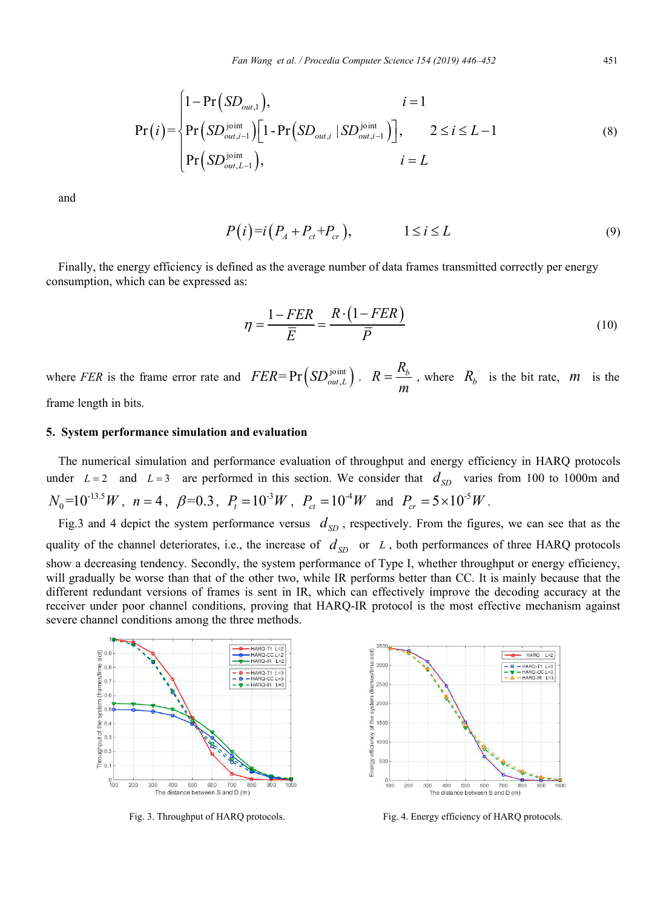$$
\Pr(i) = \begin{cases} 1 - \Pr(SD_{out,1}), & i = 1 \\ \Pr(SD_{out,i-1}) \Big[ 1 - \Pr(SD_{out,i} | SD_{out,i-1}) \Big], & 2 \le i \le L - 1 \\ \Pr(SD_{out,L-1}^{joint}), & i = L \end{cases}
$$
(8)

and

$$
P(i)=i\left(P_A+P_{ct}+P_{cr}\right),\qquad 1\leq i\leq L\tag{9}
$$

Finally, the energy efficiency is defined as the average number of data frames transmitted correctly per energy consumption, which can be expressed as:

$$
\eta = \frac{1 - FER}{\overline{E}} = \frac{R \cdot (1 - FER)}{\overline{P}} \tag{10}
$$

where *FER* is the frame error rate and  $FER = Pr(SD_{out,L}^{joint})$ .  $R = \frac{R_b}{m}$ , where  $R_b$  is the bit rate,  $m$  is the frame length in bits.

### **5. System performance simulation and evaluation**

The numerical simulation and performance evaluation of throughput and energy efficiency in HARQ protocols under  $L = 2$  and  $L = 3$  are performed in this section. We consider that  $d_{SD}$  varies from 100 to 1000m and  $N_0=10^{-13.5} W$ ,  $n=4$ ,  $\beta=0.3$ ,  $P_t=10^{-3} W$ ,  $P_{ct}=10^{-4} W$  and  $P_{cr}=5\times 10^{-5} W$ .

Fig.3 and 4 depict the system performance versus  $d_{SD}$ , respectively. From the figures, we can see that as the quality of the channel deteriorates, i.e., the increase of  $d_{SD}$  or *L*, both performances of three HARQ protocols show a decreasing tendency. Secondly, the system performance of Type I, whether throughput or energy efficiency, will gradually be worse than that of the other two, while IR performs better than CC. It is mainly because that the different redundant versions of frames is sent in IR, which can effectively improve the decoding accuracy at the receiver under poor channel conditions, proving that HARQ-IR protocol is the most effective mechanism against severe channel conditions among the three methods.





Fig. 3. Throughput of HARQ protocols. Fig. 4. Energy efficiency of HARQ protocols.